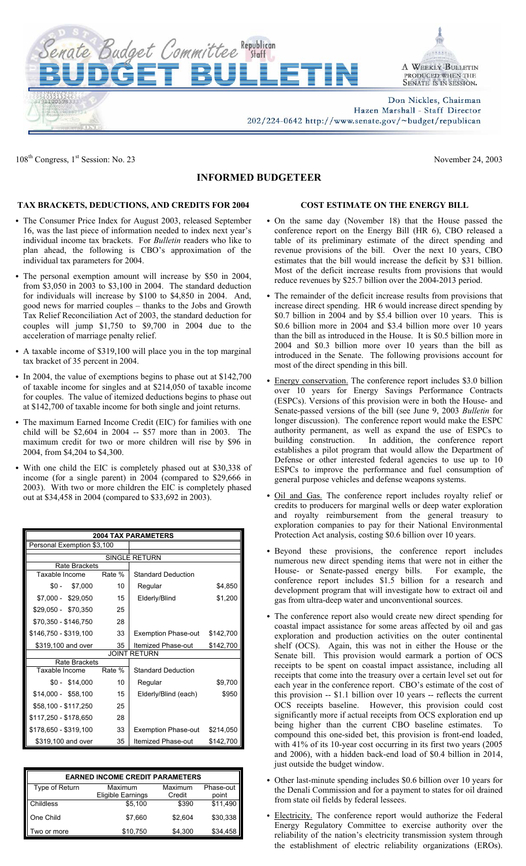



Don Nickles, Chairman Hazen Marshall - Staff Director

202/224-0642 http://www.senate.gov/~budget/republican

108<sup>th</sup> Congress, 1<sup>st</sup> Session: No. 23 November 24, 2003

## **INFORMED BUDGETEER**

## **TAX BRACKETS, DEDUCTIONS, AND CREDITS FOR 2004**

- The Consumer Price Index for August 2003, released September 16, was the last piece of information needed to index next year's individual income tax brackets. For *Bulletin* readers who like to plan ahead, the following is CBO's approximation of the individual tax parameters for 2004.
- The personal exemption amount will increase by \$50 in 2004, from \$3,050 in 2003 to \$3,100 in 2004. The standard deduction for individuals will increase by \$100 to \$4,850 in 2004. And, good news for married couples – thanks to the Jobs and Growth Tax Relief Reconciliation Act of 2003, the standard deduction for couples will jump \$1,750 to \$9,700 in 2004 due to the acceleration of marriage penalty relief.
- A taxable income of \$319,100 will place you in the top marginal tax bracket of 35 percent in 2004.
- In 2004, the value of exemptions begins to phase out at \$142,700 of taxable income for singles and at \$214,050 of taxable income for couples. The value of itemized deductions begins to phase out at \$142,700 of taxable income for both single and joint returns.
- The maximum Earned Income Credit (EIC) for families with one child will be \$2,604 in 2004 -- \$57 more than in 2003. The maximum credit for two or more children will rise by \$96 in 2004, from \$4,204 to \$4,300.
- With one child the EIC is completely phased out at \$30,338 of income (for a single parent) in 2004 (compared to \$29,666 in 2003). With two or more children the EIC is completely phased out at \$34,458 in 2004 (compared to \$33,692 in 2003).

| <b>2004 TAX PARAMETERS</b> |        |                            |           |  |  |
|----------------------------|--------|----------------------------|-----------|--|--|
| Personal Exemption \$3,100 |        |                            |           |  |  |
|                            |        | <b>SINGLE RETURN</b>       |           |  |  |
| Rate Brackets              |        |                            |           |  |  |
| Taxable Income             | Rate % | <b>Standard Deduction</b>  |           |  |  |
| $$0 -$<br>\$7,000          | 10     | Regular                    | \$4,850   |  |  |
| $$7,000 - $29,050$         | 15     | Elderly/Blind              | \$1,200   |  |  |
| \$29,050 - \$70,350        | 25     |                            |           |  |  |
| \$70,350 - \$146,750       | 28     |                            |           |  |  |
| \$146,750 - \$319,100      | 33     | <b>Exemption Phase-out</b> | \$142,700 |  |  |
| \$319,100 and over         | 35     | Itemized Phase-out         | \$142,700 |  |  |
| <b>JOINT RETURN</b>        |        |                            |           |  |  |
| Rate Brackets              |        |                            |           |  |  |
| Taxable Income             | Rate % | <b>Standard Deduction</b>  |           |  |  |
| $$0 - $14,000$             | 10     | Regular                    | \$9,700   |  |  |
| $$14,000 - $58,100$        | 15     | Elderly/Blind (each)       | \$950     |  |  |
| \$58,100 - \$117,250       | 25     |                            |           |  |  |
| \$117,250 - \$178,650      | 28     |                            |           |  |  |
| \$178,650 - \$319,100      | 33     | <b>Exemption Phase-out</b> | \$214,050 |  |  |
| \$319,100 and over         | 35     | Itemized Phase-out         | \$142,700 |  |  |

| <b>EARNED INCOME CREDIT PARAMETERS</b> |                   |         |           |  |  |
|----------------------------------------|-------------------|---------|-----------|--|--|
| Type of Return                         | Maximum           | Maximum | Phase-out |  |  |
|                                        | Eligible Earnings | Credit  | point     |  |  |
| Childless                              | \$5,100           | \$390   | \$11.490  |  |  |
| One Child                              | \$7,660           | \$2.604 | \$30,338  |  |  |
| Two or more                            | \$10.750          | \$4,300 | \$34.458  |  |  |

## **COST ESTIMATE ON THE ENERGY BILL**

- On the same day (November 18) that the House passed the conference report on the Energy Bill (HR 6), CBO released a table of its preliminary estimate of the direct spending and revenue provisions of the bill. Over the next 10 years, CBO estimates that the bill would increase the deficit by \$31 billion. Most of the deficit increase results from provisions that would reduce revenues by \$25.7 billion over the 2004-2013 period.
- The remainder of the deficit increase results from provisions that increase direct spending. HR 6 would increase direct spending by \$0.7 billion in 2004 and by \$5.4 billion over 10 years. This is \$0.6 billion more in 2004 and \$3.4 billion more over 10 years than the bill as introduced in the House. It is \$0.5 billion more in 2004 and \$0.3 billion more over 10 years than the bill as introduced in the Senate. The following provisions account for most of the direct spending in this bill.
- Energy conservation. The conference report includes \$3.0 billion over 10 years for Energy Savings Performance Contracts (ESPCs). Versions of this provision were in both the House- and Senate-passed versions of the bill (see June 9, 2003 *Bulletin* for longer discussion). The conference report would make the ESPC authority permanent, as well as expand the use of ESPCs to building construction. In addition, the conference report establishes a pilot program that would allow the Department of Defense or other interested federal agencies to use up to 10 ESPCs to improve the performance and fuel consumption of general purpose vehicles and defense weapons systems.
- Oil and Gas. The conference report includes royalty relief or credits to producers for marginal wells or deep water exploration and royalty reimbursement from the general treasury to exploration companies to pay for their National Environmental Protection Act analysis, costing \$0.6 billion over 10 years.
- Beyond these provisions, the conference report includes numerous new direct spending items that were not in either the House- or Senate-passed energy bills. For example, the conference report includes \$1.5 billion for a research and development program that will investigate how to extract oil and gas from ultra-deep water and unconventional sources.
- The conference report also would create new direct spending for coastal impact assistance for some areas affected by oil and gas exploration and production activities on the outer continental shelf (OCS). Again, this was not in either the House or the Senate bill. This provision would earmark a portion of OCS receipts to be spent on coastal impact assistance, including all receipts that come into the treasury over a certain level set out for each year in the conference report. CBO's estimate of the cost of this provision -- \$1.1 billion over 10 years -- reflects the current OCS receipts baseline. However, this provision could cost significantly more if actual receipts from OCS exploration end up being higher than the current CBO baseline estimates. To compound this one-sided bet, this provision is front-end loaded, with 41% of its 10-year cost occurring in its first two years (2005 and 2006), with a hidden back-end load of \$0.4 billion in 2014, just outside the budget window.
- Other last-minute spending includes \$0.6 billion over 10 years for the Denali Commission and for a payment to states for oil drained from state oil fields by federal lessees.
- Electricity. The conference report would authorize the Federal Energy Regulatory Committee to exercise authority over the reliability of the nation's electricity transmission system through the establishment of electric reliability organizations (EROs).